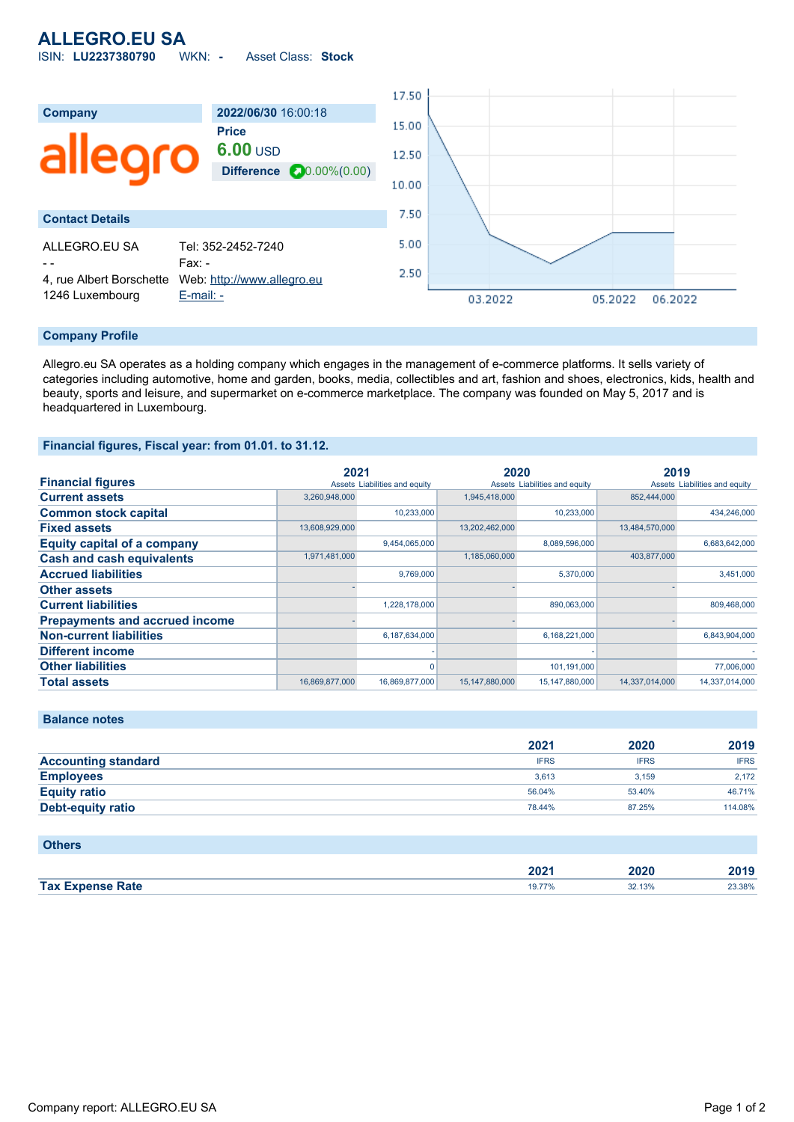# **ALLEGRO.EU SA**

ISIN: **LU2237380790** WKN: **-** Asset Class: **Stock**



#### **Company Profile**

Allegro.eu SA operates as a holding company which engages in the management of e-commerce platforms. It sells variety of categories including automotive, home and garden, books, media, collectibles and art, fashion and shoes, electronics, kids, health and beauty, sports and leisure, and supermarket on e-commerce marketplace. The company was founded on May 5, 2017 and is headquartered in Luxembourg.

### **Financial figures, Fiscal year: from 01.01. to 31.12.**

|                                       | 2021           |                               | 2020           |                               | 2019           |                               |
|---------------------------------------|----------------|-------------------------------|----------------|-------------------------------|----------------|-------------------------------|
| <b>Financial figures</b>              |                | Assets Liabilities and equity |                | Assets Liabilities and equity |                | Assets Liabilities and equity |
| <b>Current assets</b>                 | 3,260,948,000  |                               | 1,945,418,000  |                               | 852,444,000    |                               |
| <b>Common stock capital</b>           |                | 10,233,000                    |                | 10,233,000                    |                | 434,246,000                   |
| <b>Fixed assets</b>                   | 13,608,929,000 |                               | 13,202,462,000 |                               | 13,484,570,000 |                               |
| <b>Equity capital of a company</b>    |                | 9,454,065,000                 |                | 8,089,596,000                 |                | 6,683,642,000                 |
| <b>Cash and cash equivalents</b>      | 1,971,481,000  |                               | 1,185,060,000  |                               | 403,877,000    |                               |
| <b>Accrued liabilities</b>            |                | 9.769.000                     |                | 5,370,000                     |                | 3,451,000                     |
| <b>Other assets</b>                   |                |                               |                |                               |                |                               |
| <b>Current liabilities</b>            |                | 1.228.178.000                 |                | 890,063,000                   |                | 809,468,000                   |
| <b>Prepayments and accrued income</b> |                |                               |                |                               |                |                               |
| <b>Non-current liabilities</b>        |                | 6,187,634,000                 |                | 6,168,221,000                 |                | 6,843,904,000                 |
| <b>Different income</b>               |                |                               |                |                               |                |                               |
| <b>Other liabilities</b>              |                |                               |                | 101,191,000                   |                | 77,006,000                    |
| <b>Total assets</b>                   | 16,869,877,000 | 16,869,877,000                | 15,147,880,000 | 15,147,880,000                | 14,337,014,000 | 14,337,014,000                |

| 2021        | 2020        | 2019        |
|-------------|-------------|-------------|
| <b>IFRS</b> | <b>IFRS</b> | <b>IFRS</b> |
| 3.613       | 3.159       | 2.172       |
| 56.04%      | 53.40%      | 46.71%      |
| 78.44%      | 87.25%      | 114.08%     |
|             |             |             |

### **Others**

|        | $\mathbf{a}$<br>ZUZ I | uzu | 40 I J |
|--------|-----------------------|-----|--------|
| Tax Ex |                       | 13% | 3.38%  |
| Rate   |                       |     | .      |